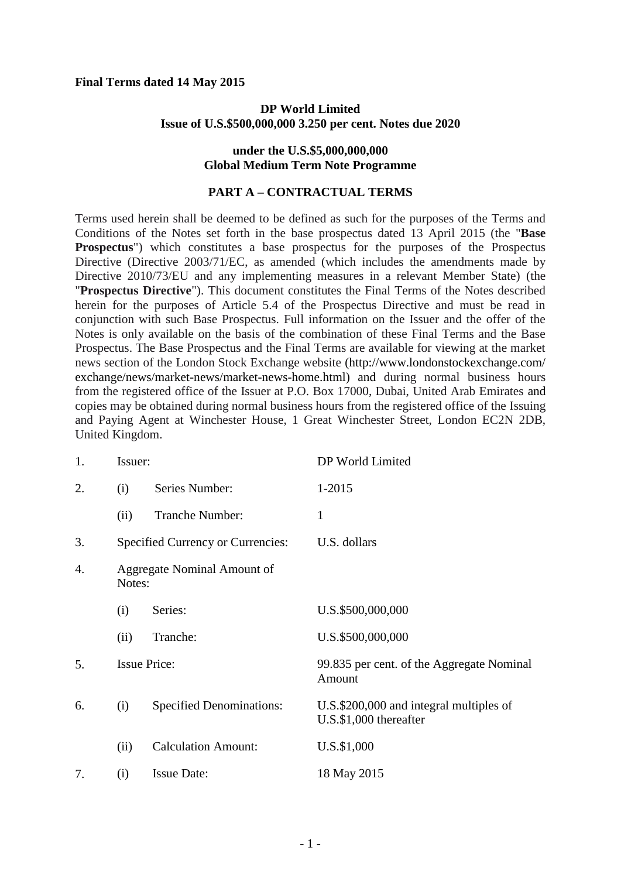#### **Final Terms dated 14 May 2015**

## **DP World Limited Issue of U.S.\$500,000,000 3.250 per cent. Notes due 2020**

#### **under the U.S.\$5,000,000,000 Global Medium Term Note Programme**

## **PART A – CONTRACTUAL TERMS**

Terms used herein shall be deemed to be defined as such for the purposes of the Terms and Conditions of the Notes set forth in the base prospectus dated 13 April 2015 (the "**Base Prospectus**") which constitutes a base prospectus for the purposes of the Prospectus Directive (Directive 2003/71/EC, as amended (which includes the amendments made by Directive 2010/73/EU and any implementing measures in a relevant Member State) (the "**Prospectus Directive**"). This document constitutes the Final Terms of the Notes described herein for the purposes of Article 5.4 of the Prospectus Directive and must be read in conjunction with such Base Prospectus. Full information on the Issuer and the offer of the Notes is only available on the basis of the combination of these Final Terms and the Base Prospectus. The Base Prospectus and the Final Terms are available for viewing at the market news section of the London Stock Exchange website (http://www.londonstockexchange.com/ exchange/news/market-news/market-news-home.html) and during normal business hours from the registered office of the Issuer at P.O. Box 17000, Dubai, United Arab Emirates and copies may be obtained during normal business hours from the registered office of the Issuing and Paying Agent at Winchester House, 1 Great Winchester Street, London EC2N 2DB, United Kingdom.

| 1. | Issuer:                               |                                   | DP World Limited                                                      |
|----|---------------------------------------|-----------------------------------|-----------------------------------------------------------------------|
| 2. | (i)                                   | Series Number:                    | 1-2015                                                                |
|    | (ii)                                  | <b>Tranche Number:</b>            | $\mathbf{1}$                                                          |
| 3. |                                       | Specified Currency or Currencies: | U.S. dollars                                                          |
| 4. | Aggregate Nominal Amount of<br>Notes: |                                   |                                                                       |
|    | (i)                                   | Series:                           | U.S.\$500,000,000                                                     |
|    | (ii)                                  | Tranche:                          | U.S.\$500,000,000                                                     |
| 5. |                                       | <b>Issue Price:</b>               | 99.835 per cent. of the Aggregate Nominal<br>Amount                   |
| 6. | (i)                                   | <b>Specified Denominations:</b>   | U.S.\$200,000 and integral multiples of<br>$U.S.\$ \$1,000 thereafter |
|    | (ii)                                  | <b>Calculation Amount:</b>        | U.S.\$1,000                                                           |
| 7. | (i)                                   | <b>Issue Date:</b>                | 18 May 2015                                                           |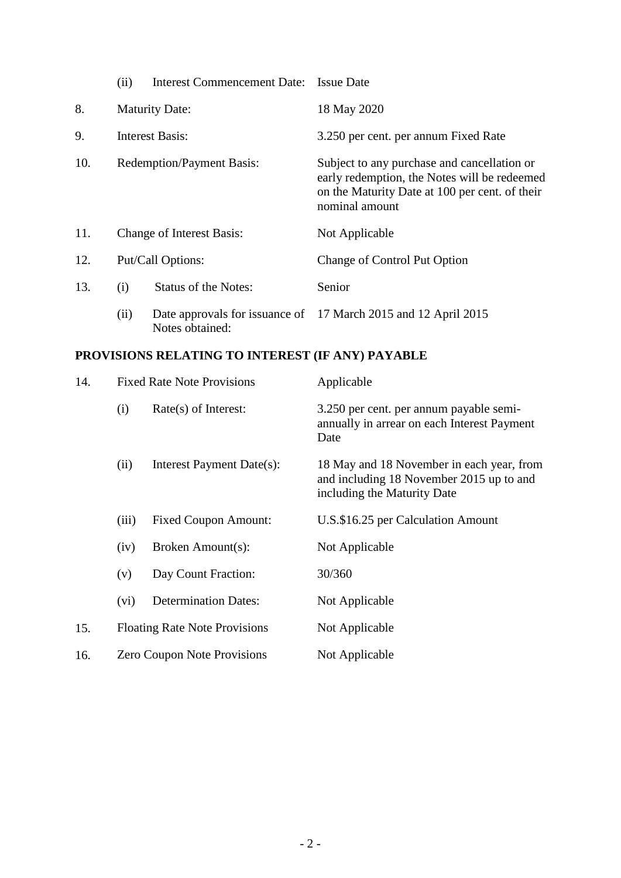|     | (ii)                             | <b>Interest Commencement Date:</b> | <b>Issue Date</b>                                                                                                                                               |
|-----|----------------------------------|------------------------------------|-----------------------------------------------------------------------------------------------------------------------------------------------------------------|
| 8.  |                                  | <b>Maturity Date:</b>              | 18 May 2020                                                                                                                                                     |
| 9.  | Interest Basis:                  |                                    | 3.250 per cent. per annum Fixed Rate                                                                                                                            |
| 10. | <b>Redemption/Payment Basis:</b> |                                    | Subject to any purchase and cancellation or<br>early redemption, the Notes will be redeemed<br>on the Maturity Date at 100 per cent. of their<br>nominal amount |
| 11. | <b>Change of Interest Basis:</b> |                                    | Not Applicable                                                                                                                                                  |
| 12. | Put/Call Options:                |                                    | Change of Control Put Option                                                                                                                                    |
| 13. | (i)                              | <b>Status of the Notes:</b>        | Senior                                                                                                                                                          |
|     | (ii)                             | Notes obtained:                    | Date approvals for issuance of 17 March 2015 and 12 April 2015                                                                                                  |

# **PROVISIONS RELATING TO INTEREST (IF ANY) PAYABLE**

| 14. | <b>Fixed Rate Note Provisions</b>    |                             | Applicable                                                                                                           |
|-----|--------------------------------------|-----------------------------|----------------------------------------------------------------------------------------------------------------------|
|     | (i)                                  | Rate(s) of Interest:        | 3.250 per cent. per annum payable semi-<br>annually in arrear on each Interest Payment<br>Date                       |
|     | (ii)                                 | Interest Payment Date(s):   | 18 May and 18 November in each year, from<br>and including 18 November 2015 up to and<br>including the Maturity Date |
|     | (iii)                                | <b>Fixed Coupon Amount:</b> | U.S.\$16.25 per Calculation Amount                                                                                   |
|     | (iv)                                 | Broken Amount(s):           | Not Applicable                                                                                                       |
|     | (v)                                  | Day Count Fraction:         | 30/360                                                                                                               |
|     | (vi)                                 | <b>Determination Dates:</b> | Not Applicable                                                                                                       |
| 15. | <b>Floating Rate Note Provisions</b> |                             | Not Applicable                                                                                                       |
| 16. | <b>Zero Coupon Note Provisions</b>   |                             | Not Applicable                                                                                                       |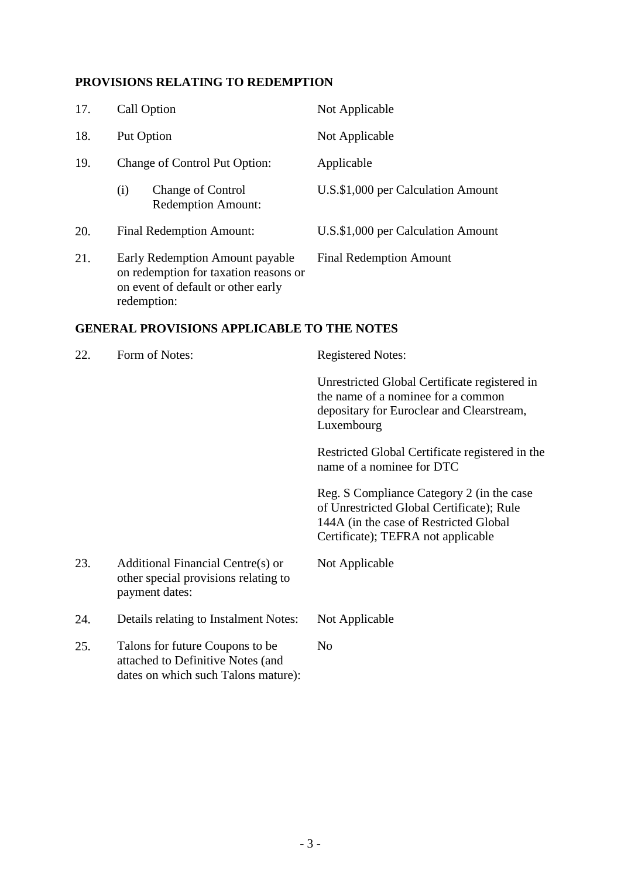## **PROVISIONS RELATING TO REDEMPTION**

dates on which such Talons mature):

| 17. | Call Option                                                                                                                   | Not Applicable                                                                                                                                                         |
|-----|-------------------------------------------------------------------------------------------------------------------------------|------------------------------------------------------------------------------------------------------------------------------------------------------------------------|
| 18. | Put Option                                                                                                                    | Not Applicable                                                                                                                                                         |
| 19. | Change of Control Put Option:                                                                                                 | Applicable                                                                                                                                                             |
|     | (i)<br><b>Change of Control</b><br><b>Redemption Amount:</b>                                                                  | U.S.\$1,000 per Calculation Amount                                                                                                                                     |
| 20. | <b>Final Redemption Amount:</b>                                                                                               | U.S.\$1,000 per Calculation Amount                                                                                                                                     |
| 21. | Early Redemption Amount payable<br>on redemption for taxation reasons or<br>on event of default or other early<br>redemption: | <b>Final Redemption Amount</b>                                                                                                                                         |
|     | <b>GENERAL PROVISIONS APPLICABLE TO THE NOTES</b>                                                                             |                                                                                                                                                                        |
| 22. | Form of Notes:                                                                                                                | <b>Registered Notes:</b>                                                                                                                                               |
|     |                                                                                                                               | Unrestricted Global Certificate registered in<br>the name of a nominee for a common<br>depositary for Euroclear and Clearstream,<br>Luxembourg                         |
|     |                                                                                                                               | Restricted Global Certificate registered in the<br>name of a nominee for DTC                                                                                           |
|     |                                                                                                                               | Reg. S Compliance Category 2 (in the case<br>of Unrestricted Global Certificate); Rule<br>144A (in the case of Restricted Global<br>Certificate); TEFRA not applicable |
| 23. | Additional Financial Centre(s) or<br>other special provisions relating to<br>payment dates:                                   | Not Applicable                                                                                                                                                         |
| 24. | Details relating to Instalment Notes:                                                                                         | Not Applicable                                                                                                                                                         |
| 25. | Talons for future Coupons to be<br>attached to Definitive Notes (and                                                          | N <sub>o</sub>                                                                                                                                                         |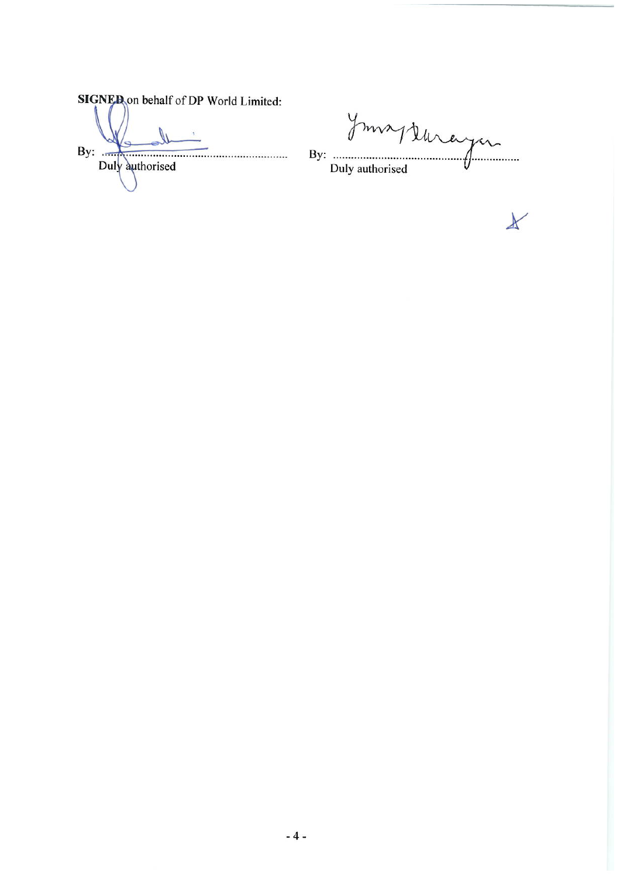SIGNED on behalf of DP World Limited: By:  $\frac{1}{2}$ Duly authorised

By: Junayer Duly authorised

 $\star$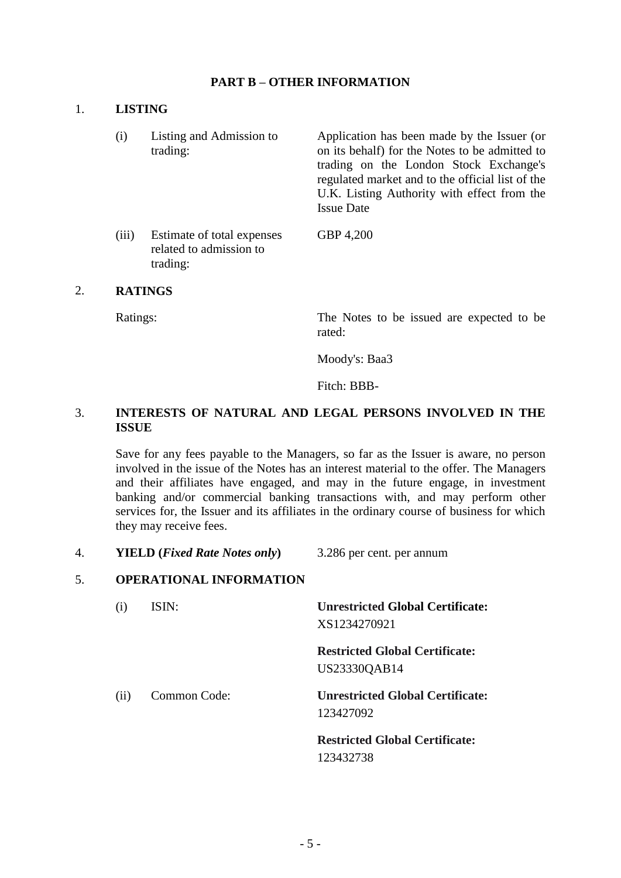## **PART B – OTHER INFORMATION**

#### 1. **LISTING**

- (i) Listing and Admission to trading: Application has been made by the Issuer (or on its behalf) for the Notes to be admitted to trading on the London Stock Exchange's regulated market and to the official list of the U.K. Listing Authority with effect from the Issue Date
- (iii) Estimate of total expenses related to admission to trading: GBP 4,200

#### 2. **RATINGS**

Ratings: The Notes to be issued are expected to be rated:

Moody's: Baa3

Fitch: BBB-

## 3. **INTERESTS OF NATURAL AND LEGAL PERSONS INVOLVED IN THE ISSUE**

Save for any fees payable to the Managers, so far as the Issuer is aware, no person involved in the issue of the Notes has an interest material to the offer. The Managers and their affiliates have engaged, and may in the future engage, in investment banking and/or commercial banking transactions with, and may perform other services for, the Issuer and its affiliates in the ordinary course of business for which they may receive fees.

4. **YIELD (***Fixed Rate Notes only***)** 3.286 per cent. per annum

#### 5. **OPERATIONAL INFORMATION**

| $\left( 1 \right)$ | ISIN:        | <b>Unrestricted Global Certificate:</b><br>XS1234270921 |
|--------------------|--------------|---------------------------------------------------------|
|                    |              | <b>Restricted Global Certificate:</b><br>US23330QAB14   |
| (i)                | Common Code: | <b>Unrestricted Global Certificate:</b><br>123427092    |
|                    |              | <b>Restricted Global Certificate:</b><br>123432738      |